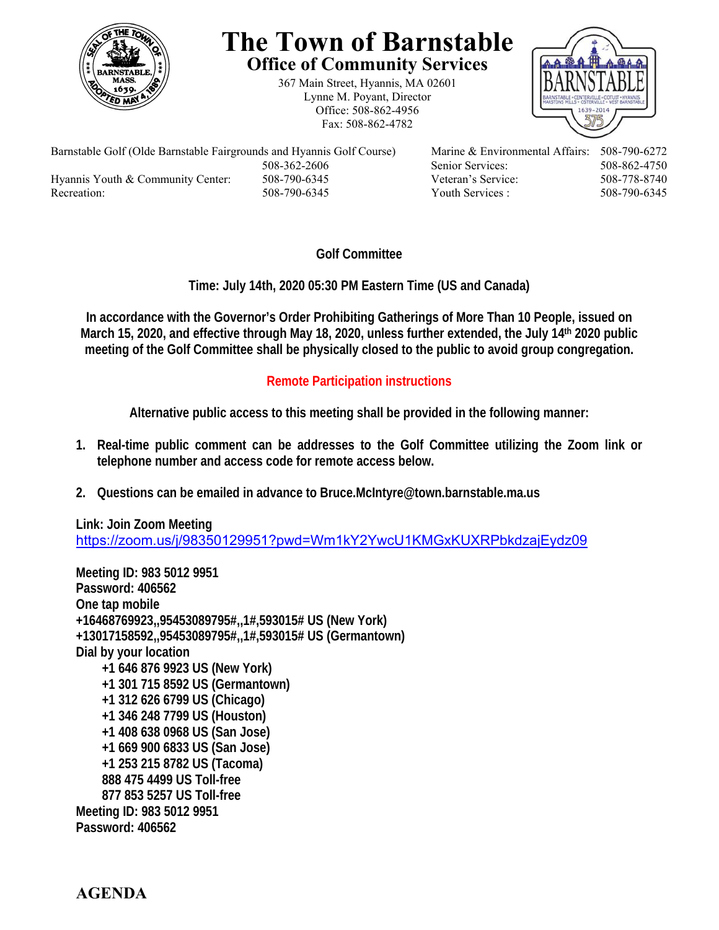

## **The Town of Barnstable Office of Community Services**

367 Main Street, Hyannis, MA 02601 Lynne M. Poyant, Director Office: 508-862-4956 Fax: 508-862-4782



Barnstable Golf (Olde Barnstable Fairgrounds and Hyannis Golf Course) Marine & Environmental Affairs: 508-790-6272 508-362-2606 Senior Services: 508-862-4750 Hyannis Youth & Community Center: 508-790-6345 Veteran's Service: 508-778-8740 Recreation: 508-790-6345 Youth Services : 508-790-6345 S08-790-6345

## **Golf Committee**

**Time: July 14th, 2020 05:30 PM Eastern Time (US and Canada)** 

**In accordance with the Governor's Order Prohibiting Gatherings of More Than 10 People, issued on March 15, 2020, and effective through May 18, 2020, unless further extended, the July 14th 2020 public meeting of the Golf Committee shall be physically closed to the public to avoid group congregation.** 

## **Remote Participation instructions**

**Alternative public access to this meeting shall be provided in the following manner:** 

- **1. Real-time public comment can be addresses to the Golf Committee utilizing the Zoom link or telephone number and access code for remote access below.**
- **2. Questions can be emailed in advance to Bruce.McIntyre@town.barnstable.ma.us**

**Link: Join Zoom Meeting**  https://zoom.us/j/98350129951?pwd=Wm1kY2YwcU1KMGxKUXRPbkdzajEydz09

**Meeting ID: 983 5012 9951 Password: 406562 One tap mobile +16468769923,,95453089795#,,1#,593015# US (New York) +13017158592,,95453089795#,,1#,593015# US (Germantown) Dial by your location +1 646 876 9923 US (New York) +1 301 715 8592 US (Germantown) +1 312 626 6799 US (Chicago) +1 346 248 7799 US (Houston) +1 408 638 0968 US (San Jose) +1 669 900 6833 US (San Jose) +1 253 215 8782 US (Tacoma) 888 475 4499 US Toll-free 877 853 5257 US Toll-free Meeting ID: 983 5012 9951 Password: 406562**